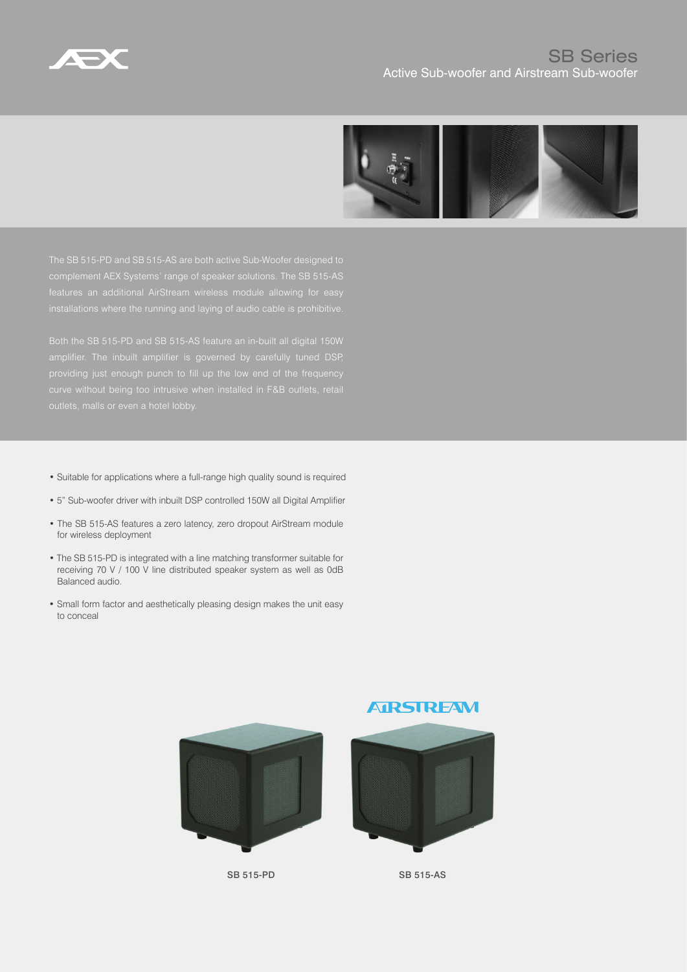



complement AEX Systems' range of speaker solutions. The SB 515-AS

- Suitable for applications where a full-range high quality sound is required
- 5" Sub-woofer driver with inbuilt DSP controlled 150W all Digital Amplifier
- The SB 515-AS features a zero latency, zero dropout AirStream module for wireless deployment
- The SB 515-PD is integrated with a line matching transformer suitable for receiving 70 V / 100 V line distributed speaker system as well as 0dB Balanced audio.
- Small form factor and aesthetically pleasing design makes the unit easy to conceal



SB 515-PD SB 515-AS